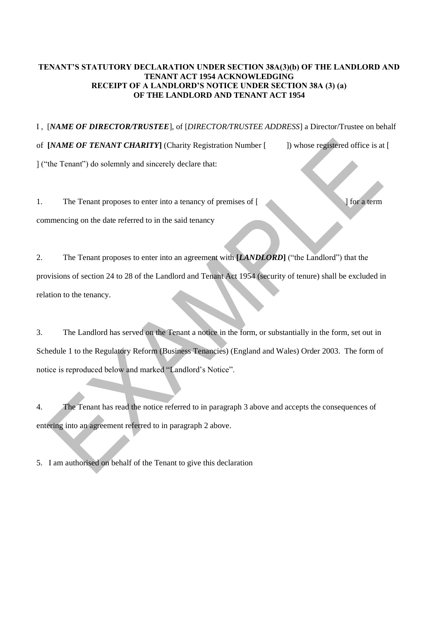## **TENANT'S STATUTORY DECLARATION UNDER SECTION 38A(3)(b) OF THE LANDLORD AND TENANT ACT 1954 ACKNOWLEDGING RECEIPT OF A LANDLORD'S NOTICE UNDER SECTION 38A (3) (a) OF THE LANDLORD AND TENANT ACT 1954**

I , [*NAME OF DIRECTOR/TRUSTEE*], of [*DIRECTOR/TRUSTEE ADDRESS*] a Director/Trustee on behalf

of **[***NAME OF TENANT CHARITY***]** (Charity Registration Number [ ]) whose registered office is at [ ] ("the Tenant") do solemnly and sincerely declare that:

1. The Tenant proposes to enter into a tenancy of premises of [ ] [ ] for a term commencing on the date referred to in the said tenancy

2. The Tenant proposes to enter into an agreement with **[***LANDLORD***]** ("the Landlord") that the provisions of section 24 to 28 of the Landlord and Tenant Act 1954 (security of tenure) shall be excluded in relation to the tenancy.

3. The Landlord has served on the Tenant a notice in the form, or substantially in the form, set out in Schedule 1 to the Regulatory Reform (Business Tenancies) (England and Wales) Order 2003. The form of notice is reproduced below and marked "Landlord's Notice".

4. The Tenant has read the notice referred to in paragraph 3 above and accepts the consequences of entering into an agreement referred to in paragraph 2 above.

5. I am authorised on behalf of the Tenant to give this declaration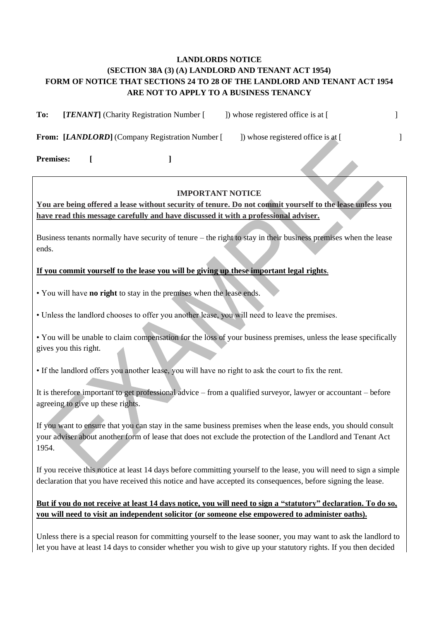## **LANDLORDS NOTICE (SECTION 38A (3) (A) LANDLORD AND TENANT ACT 1954) FORM OF NOTICE THAT SECTIONS 24 TO 28 OF THE LANDLORD AND TENANT ACT 1954 ARE NOT TO APPLY TO A BUSINESS TENANCY**

**To:** [*TENANT*] (Charity Registration Number [ ]) whose registered office is at [

**From:** [*LANDLORD*] (Company Registration Number [ ]) whose registered office is at [

**Premises: [ ]**

## **IMPORTANT NOTICE**

**You are being offered a lease without security of tenure. Do not commit yourself to the lease unless you have read this message carefully and have discussed it with a professional adviser.**

Business tenants normally have security of tenure – the right to stay in their business premises when the lease ends.

**If you commit yourself to the lease you will be giving up these important legal rights**.

• You will have **no right** to stay in the premises when the lease ends.

• Unless the landlord chooses to offer you another lease, you will need to leave the premises.

• You will be unable to claim compensation for the loss of your business premises, unless the lease specifically gives you this right.

• If the landlord offers you another lease, you will have no right to ask the court to fix the rent.

It is therefore important to get professional advice – from a qualified surveyor, lawyer or accountant – before agreeing to give up these rights.

If you want to ensure that you can stay in the same business premises when the lease ends, you should consult your adviser about another form of lease that does not exclude the protection of the Landlord and Tenant Act 1954.

If you receive this notice at least 14 days before committing yourself to the lease, you will need to sign a simple declaration that you have received this notice and have accepted its consequences, before signing the lease.

## **But if you do not receive at least 14 days notice, you will need to sign a "statutory" declaration. To do so, you will need to visit an independent solicitor (or someone else empowered to administer oaths).**

Unless there is a special reason for committing yourself to the lease sooner, you may want to ask the landlord to let you have at least 14 days to consider whether you wish to give up your statutory rights. If you then decided